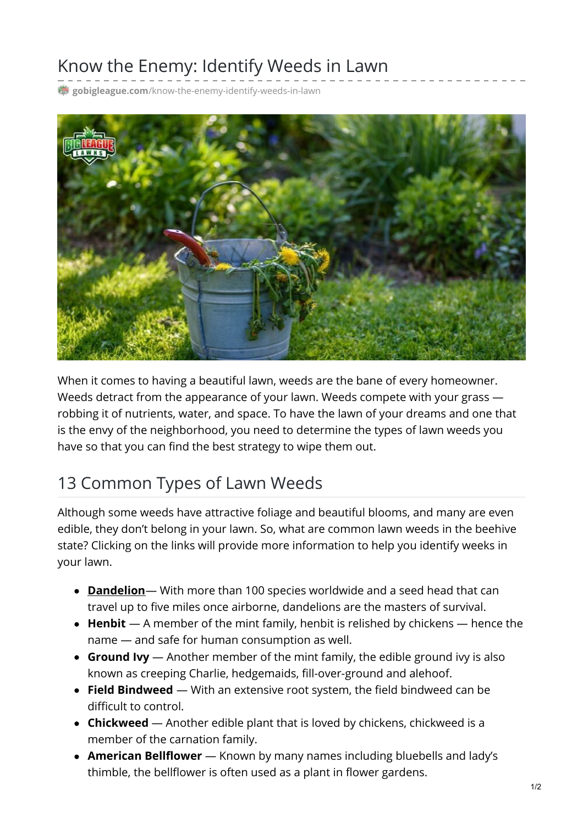## Know the Enemy: Identify Weeds in Lawn

**gobigleague.com**[/know-the-enemy-identify-weeds-in-lawn](https://gobigleague.com/know-the-enemy-identify-weeds-in-lawn/)



When it comes to having a beautiful lawn, weeds are the bane of every homeowner. Weeds detract from the appearance of your lawn. Weeds compete with your grass robbing it of nutrients, water, and space. To have the lawn of your dreams and one that is the envy of the neighborhood, you need to determine the types of lawn weeds you have so that you can find the best strategy to wipe them out.

## 13 Common Types of Lawn Weeds

Although some weeds have attractive foliage and beautiful blooms, and many are even edible, they don't belong in your lawn. So, what are common lawn weeds in the beehive state? Clicking on the links will provide more information to help you identify weeks in your lawn.

- **[Dandelion](https://en.wikipedia.org/wiki/Taraxacum)** With more than 100 species worldwide and a seed head that can travel up to five miles once airborne, dandelions are the masters of survival.
- **Henbit** A member of the mint family, henbit is relished by chickens hence the name — and safe for human consumption as well.
- **Ground Ivy** Another member of the mint family, the edible ground ivy is also known as creeping Charlie, hedgemaids, fill-over-ground and alehoof.
- **Field Bindweed** With an extensive root system, the field bindweed can be difficult to control.
- **Chickweed** Another edible plant that is loved by chickens, chickweed is a member of the carnation family.
- **American Bellflower** Known by many names including bluebells and lady's thimble, the bellflower is often used as a plant in flower gardens.